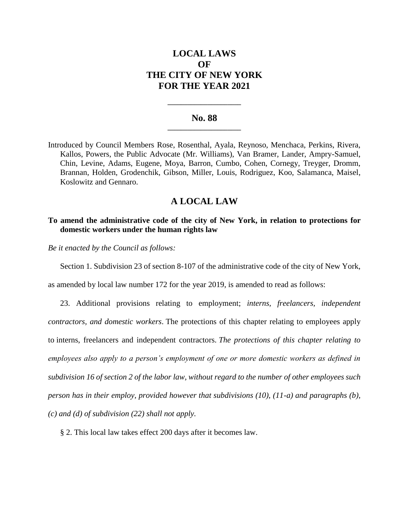# **LOCAL LAWS OF THE CITY OF NEW YORK FOR THE YEAR 2021**

#### **No. 88 \_\_\_\_\_\_\_\_\_\_\_\_\_\_\_\_\_\_\_\_\_\_**

**\_\_\_\_\_\_\_\_\_\_\_\_\_\_\_\_\_\_\_\_\_\_**

Introduced by Council Members Rose, Rosenthal, Ayala, Reynoso, Menchaca, Perkins, Rivera, Kallos, Powers, the Public Advocate (Mr. Williams), Van Bramer, Lander, Ampry-Samuel, Chin, Levine, Adams, Eugene, Moya, Barron, Cumbo, Cohen, Cornegy, Treyger, Dromm, Brannan, Holden, Grodenchik, Gibson, Miller, Louis, Rodriguez, Koo, Salamanca, Maisel, Koslowitz and Gennaro.

## **A LOCAL LAW**

### **To amend the administrative code of the city of New York, in relation to protections for domestic workers under the human rights law**

*Be it enacted by the Council as follows:*

Section 1. Subdivision 23 of section 8-107 of the administrative code of the city of New York,

as amended by local law number 172 for the year 2019, is amended to read as follows:

23. Additional provisions relating to employment; *interns, freelancers, independent contractors, and domestic workers*. The protections of this chapter relating to employees apply to interns, freelancers and independent contractors. *The protections of this chapter relating to employees also apply to a person's employment of one or more domestic workers as defined in subdivision 16 of section 2 of the labor law, without regard to the number of other employees such person has in their employ, provided however that subdivisions (10), (11-a) and paragraphs (b), (c) and (d) of subdivision (22) shall not apply.*

§ 2. This local law takes effect 200 days after it becomes law.